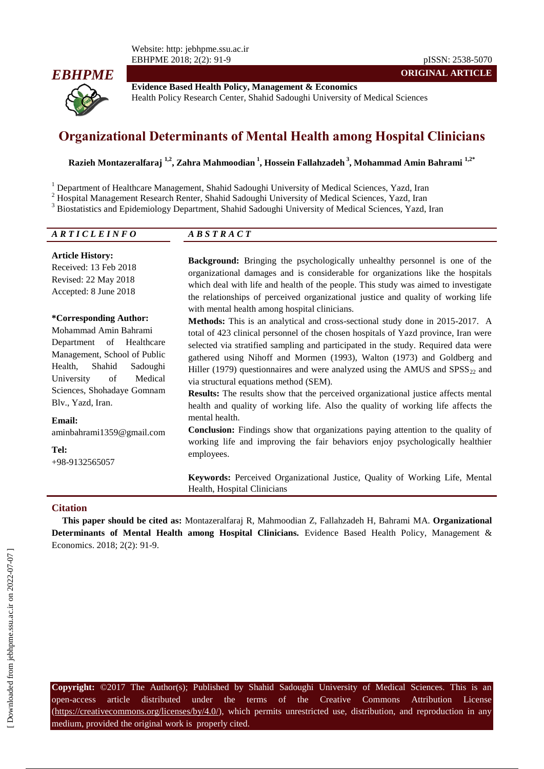Website: http: jebhpme.ssu.ac.ir EBHPME 2018; 2(2): 91-9 pISSN: 2538-5070



**Evidence Based Health Policy, Management & Economics** Health Policy Research Center, Shahid Sadoughi University of Medical Sciences

# **Organizational Determinants of Mental Health among Hospital Clinicians**

**Razieh Montazeralfaraj 1,2, Zahra Mahmoodian <sup>1</sup> , Hossein Fallahzadeh <sup>3</sup> , Mohammad Amin Bahrami 1,2\***

<sup>1</sup> Department of Healthcare Management, Shahid Sadoughi University of Medical Sciences, Yazd, Iran

<sup>2</sup> Hospital Management Research Renter, Shahid Sadoughi University of Medical Sciences, Yazd, Iran

<sup>3</sup> Biostatistics and Epidemiology Department, Shahid Sadoughi University of Medical Sciences, Yazd, Iran

| ARTICLEINFO             | $\overline{AB}$ S T R A C T                                                                                     |  |
|-------------------------|-----------------------------------------------------------------------------------------------------------------|--|
| <b>Article History:</b> | ni n'i dii 10 10 10 10 10 10 10 10 10 11 12 12 13 14 15 17 18 18 19 19 10 11 12 12 13 14 15 16 17 17 17 18 18 1 |  |

Received: 13 Feb 2018 Revised: 22 May 2018 Accepted: 8 June 2018

#### **\*Corresponding Author:**

Mohammad Amin Bahrami Department of Healthcare Management, School of Public Health, Shahid Sadoughi University of Medical Sciences, Shohadaye Gomnam Blv., Yazd, Iran.

**Email:** aminbahrami1359@gmail.com

**Tel:**

+98-9132565057

**Background:** Bringing the psychologically unhealthy personnel is one of the organizational damages and is considerable for organizations like the hospitals which deal with life and health of the people. This study was aimed to investigate the relationships of perceived organizational justice and quality of working life with mental health among hospital clinicians.

**ORIGINAL ARTICLE**

**Methods:** This is an analytical and cross-sectional study done in 2015-2017. A total of 423 clinical personnel of the chosen hospitals of Yazd province, Iran were selected via stratified sampling and participated in the study. Required data were gathered using Nihoff and Mormen (1993), Walton (1973) and Goldberg and Hiller (1979) questionnaires and were analyzed using the AMUS and  $SPSS_{22}$  and via structural equations method (SEM).

**Results:** The results show that the perceived organizational justice affects mental health and quality of working life. Also the quality of working life affects the mental health.

**Conclusion:** Findings show that organizations paying attention to the quality of working life and improving the fair behaviors enjoy psychologically healthier employees.

**Keywords:** Perceived Organizational Justice, Quality of Working Life, Mental Health, Hospital Clinicians

#### **Citation**

**This paper should be cited as:** Montazeralfaraj R, Mahmoodian Z, Fallahzadeh H, Bahrami MA. **Organizational Determinants of Mental Health among Hospital Clinicians.** Evidence Based Health Policy, Management & Economics. 2018; 2(2): 91-9.

**Copyright:** ©2017 The Author(s); Published by Shahid Sadoughi University of Medical Sciences. This is an open-access article distributed under the terms of the Creative Commons Attribution License (https://creativecommons.org/licenses/by/4.0/), which permits unrestricted use, distribution, and reproduction in any medium, provided the original work is properly cited.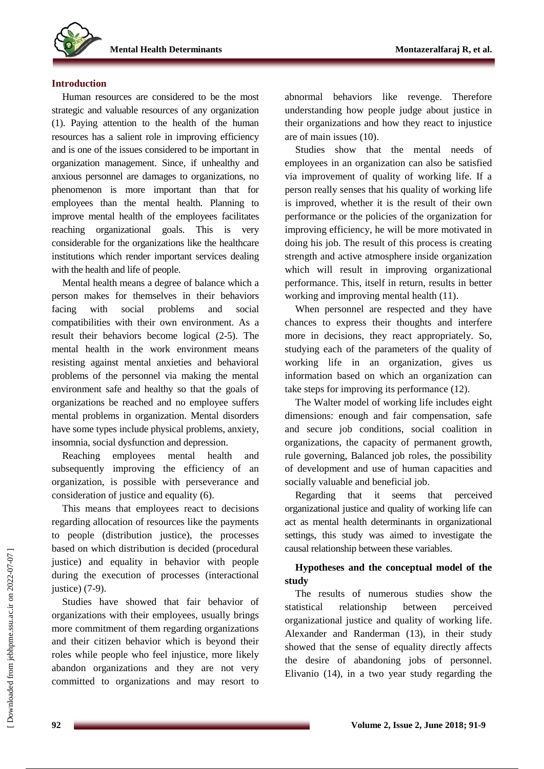

### **Introduction**

Human resources are considered to be the most strategic and valuable resources of any organization (1). Paying attention to the health of the human resources has a salient role in improving efficiency and is one of the issues considered to be important in organization management. Since, if unhealthy and anxious personnel are damages to organizations, no phenomenon is more important than that for employees than the mental health. Planning to improve mental health of the employees facilitates reaching organizational goals. This is very considerable for the organizations like the healthcare institutions which render important services dealing with the health and life of people.

Mental health means a degree of balance which a person makes for themselves in their behaviors facing with social problems and social compatibilities with their own environment. As a result their behaviors become logical (2-5). The mental health in the work environment means resisting against mental anxieties and behavioral problems of the personnel via making the mental environment safe and healthy so that the goals of organizations be reached and no employee suffers mental problems in organization. Mental disorders have some types include physical problems, anxiety, insomnia, social dysfunction and depression.

Reaching employees mental health and subsequently improving the efficiency of an organization, is possible with perseverance and consideration of justice and equality (6).

This means that employees react to decisions regarding allocation of resources like the payments to people (distribution justice), the processes based on which distribution is decided (procedural justice) and equality in behavior with people during the execution of processes (interactional justice) (7-9).

Studies have showed that fair behavior of organizations with their employees, usually brings more commitment of them regarding organizations and their citizen behavior which is beyond their roles while people who feel injustice, more likely abandon organizations and they are not very committed to organizations and may resort to

abnormal behaviors like revenge. Therefore understanding how people judge about justice in their organizations and how they react to injustice are of main issues (10).

Studies show that the mental needs of employees in an organization can also be satisfied via improvement of quality of working life. If a person really senses that his quality of working life is improved, whether it is the result of their own performance or the policies of the organization for improving efficiency, he will be more motivated in doing his job. The result of this process is creating strength and active atmosphere inside organization which will result in improving organizational performance. This, itself in return, results in better working and improving mental health (11).

When personnel are respected and they have chances to express their thoughts and interfere more in decisions, they react appropriately. So, studying each of the parameters of the quality of working life in an organization, gives us information based on which an organization can take steps for improving its performance (12).

The Walter model of working life includes eight dimensions: enough and fair compensation, safe and secure job conditions, social coalition in organizations, the capacity of permanent growth, rule governing, Balanced job roles, the possibility of development and use of human capacities and socially valuable and beneficial job.

Regarding that it seems that perceived organizational justice and quality of working life can act as mental health determinants in organizational settings, this study was aimed to investigate the causal relationship between these variables.

## **Hypotheses and the conceptual model of the study**

The results of numerous studies show the statistical relationship between perceived organizational justice and quality of working life. Alexander and Randerman (13), in their study showed that the sense of equality directly affects the desire of abandoning jobs of personnel. Elivanio (14), in a two year study regarding the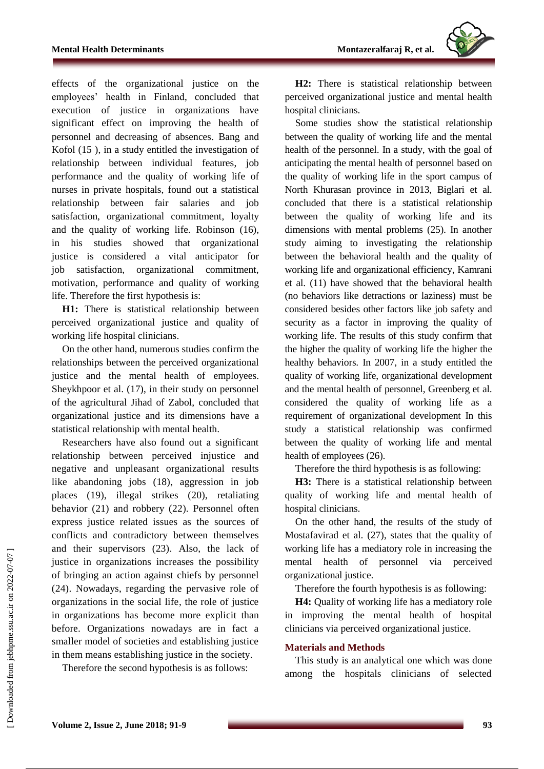

effects of the organizational justice on the employees' health in Finland, concluded that execution of justice in organizations have significant effect on improving the health of personnel and decreasing of absences. Bang and Kofol (15 ), in a study entitled the investigation of relationship between individual features, job performance and the quality of working life of nurses in private hospitals, found out a statistical relationship between fair salaries and job satisfaction, organizational commitment, loyalty and the quality of working life. Robinson (16), in his studies showed that organizational justice is considered a vital anticipator for job satisfaction, organizational commitment, motivation, performance and quality of working life. Therefore the first hypothesis is:

**H1:** There is statistical relationship between perceived organizational justice and quality of working life hospital clinicians.

On the other hand, numerous studies confirm the relationships between the perceived organizational justice and the mental health of employees. Sheykhpoor et al. (17), in their study on personnel of the agricultural Jihad of Zabol, concluded that organizational justice and its dimensions have a statistical relationship with mental health.

Researchers have also found out a significant relationship between perceived injustice and negative and unpleasant organizational results like abandoning jobs (18), aggression in job places (19), illegal strikes (20), retaliating behavior (21) and robbery (22). Personnel often express justice related issues as the sources of conflicts and contradictory between themselves and their supervisors (23). Also, the lack of justice in organizations increases the possibility of bringing an action against chiefs by personnel (24). Nowadays, regarding the pervasive role of organizations in the social life, the role of justice in organizations has become more explicit than before. Organizations nowadays are in fact a smaller model of societies and establishing justice in them means establishing justice in the society.

Therefore the second hypothesis is as follows:

**H2:** There is statistical relationship between perceived organizational justice and mental health hospital clinicians.

Some studies show the statistical relationship between the quality of working life and the mental health of the personnel. In a study, with the goal of anticipating the mental health of personnel based on the quality of working life in the sport campus of North Khurasan province in 2013, Biglari et al. concluded that there is a statistical relationship between the quality of working life and its dimensions with mental problems (25). In another study aiming to investigating the relationship between the behavioral health and the quality of working life and organizational efficiency, Kamrani et al. (11) have showed that the behavioral health (no behaviors like detractions or laziness) must be considered besides other factors like job safety and security as a factor in improving the quality of working life. The results of this study confirm that the higher the quality of working life the higher the healthy behaviors. In 2007, in a study entitled the quality of working life, organizational development and the mental health of personnel, Greenberg et al. considered the quality of working life as a requirement of organizational development In this study a statistical relationship was confirmed between the quality of working life and mental health of employees (26).

Therefore the third hypothesis is as following:

**H3:** There is a statistical relationship between quality of working life and mental health of hospital clinicians.

On the other hand, the results of the study of Mostafavirad et al. (27), states that the quality of working life has a mediatory role in increasing the mental health of personnel via perceived organizational justice.

Therefore the fourth hypothesis is as following:

**H4:** Quality of working life has a mediatory role in improving the mental health of hospital clinicians via perceived organizational justice.

## **Materials and Methods**

This study is an analytical one which was done among the hospitals clinicians of selected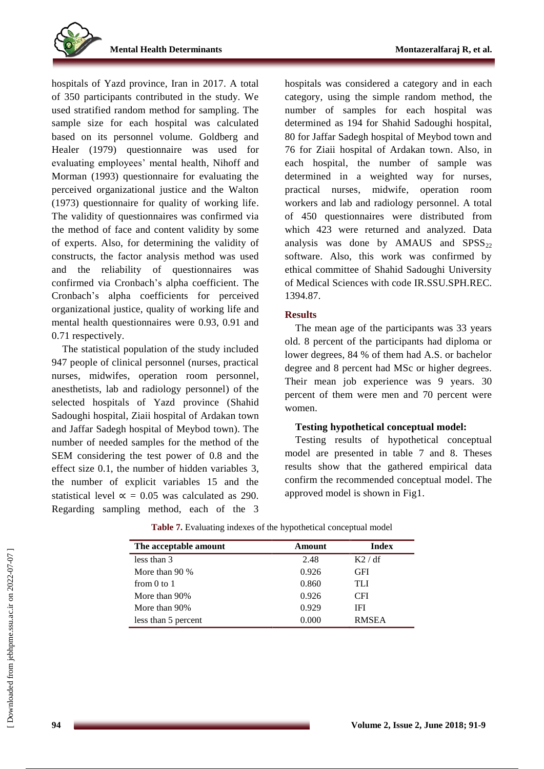

hospitals of Yazd province, Iran in 2017. A total of 350 participants contributed in the study. We used stratified random method for sampling. The sample size for each hospital was calculated based on its personnel volume. Goldberg and Healer (1979) questionnaire was used for evaluating employees' mental health, Nihoff and Morman (1993) questionnaire for evaluating the perceived organizational justice and the Walton (1973) questionnaire for quality of working life. The validity of questionnaires was confirmed via the method of face and content validity by some of experts. Also, for determining the validity of constructs, the factor analysis method was used and the reliability of questionnaires was confirmed via Cronbach's alpha coefficient. The Cronbach's alpha coefficients for perceived organizational justice, quality of working life and mental health questionnaires were 0.93, 0.91 and 0.71 respectively.

The statistical population of the study included 947 people of clinical personnel (nurses, practical nurses, midwifes, operation room personnel, anesthetists, lab and radiology personnel) of the selected hospitals of Yazd province (Shahid Sadoughi hospital, Ziaii hospital of Ardakan town and Jaffar Sadegh hospital of Meybod town). The number of needed samples for the method of the SEM considering the test power of 0.8 and the effect size 0.1, the number of hidden variables 3, the number of explicit variables 15 and the statistical level  $\alpha = 0.05$  was calculated as 290. Regarding sampling method, each of the 3 hospitals was considered a category and in each category, using the simple random method, the number of samples for each hospital was determined as 194 for Shahid Sadoughi hospital, 80 for Jaffar Sadegh hospital of Meybod town and 76 for Ziaii hospital of Ardakan town. Also, in each hospital, the number of sample was determined in a weighted way for nurses, practical nurses, midwife, operation room workers and lab and radiology personnel. A total of 450 questionnaires were distributed from which 423 were returned and analyzed. Data analysis was done by AMAUS and  $SPSS_{22}$ software. Also, this work was confirmed by ethical committee of Shahid Sadoughi University of Medical Sciences with code IR.SSU.SPH.REC. 1394.87.

### **Results**

The mean age of the participants was 33 years old. 8 percent of the participants had diploma or lower degrees, 84 % of them had A.S. or bachelor degree and 8 percent had MSc or higher degrees. Their mean job experience was 9 years. 30 percent of them were men and 70 percent were women.

#### **Testing hypothetical conceptual model:**

Testing results of hypothetical conceptual model are presented in table 7 and 8. Theses results show that the gathered empirical data confirm the recommended conceptual model. The approved model is shown in Fig1.

| The acceptable amount | Amount | <b>Index</b> |
|-----------------------|--------|--------------|
| less than 3           | 2.48   | K2/df        |
| More than $90\%$      | 0.926  | <b>GFI</b>   |
| from $0$ to $1$       | 0.860  | TL I         |
| More than 90%         | 0.926  | <b>CFI</b>   |
| More than 90%         | 0.929  | IFI          |
| less than 5 percent   | 0.000  | <b>RMSEA</b> |

| Table 7. Evaluating indexes of the hypothetical conceptual model |  |  |  |
|------------------------------------------------------------------|--|--|--|
|                                                                  |  |  |  |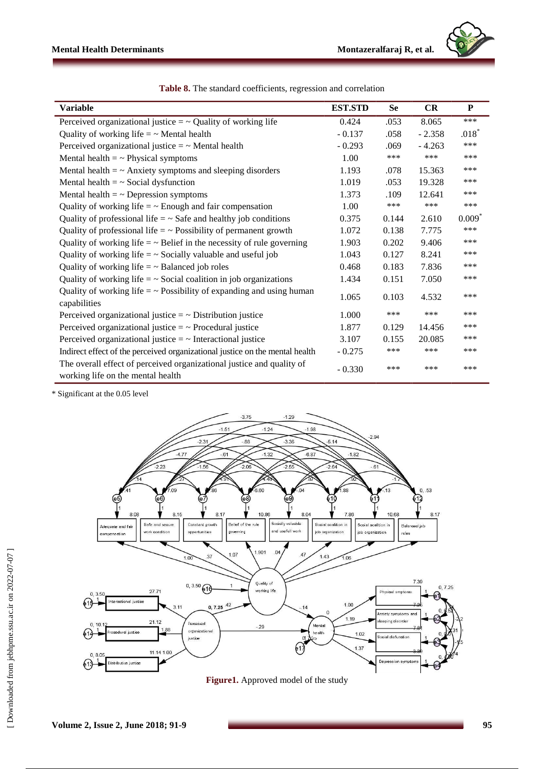

| <b>Variable</b>                                                                                            | <b>EST.STD</b> | <b>Se</b> | <b>CR</b> | P        |
|------------------------------------------------------------------------------------------------------------|----------------|-----------|-----------|----------|
| Perceived organizational justice $=$ $\sim$ Quality of working life                                        | 0.424          | .053      | 8.065     | ***      |
| Quality of working life $=$ $\sim$ Mental health                                                           | $-0.137$       | .058      | $-2.358$  | $.018*$  |
| Perceived organizational justice $=$ $\sim$ Mental health                                                  | $-0.293$       | .069      | $-4.263$  | ***      |
| Mental health $=$ $\sim$ Physical symptoms                                                                 | 1.00           | ***       | ***       | ***      |
| Mental health $=$ $\sim$ Anxiety symptoms and sleeping disorders                                           | 1.193          | .078      | 15.363    | ***      |
| Mental health $=$ $\sim$ Social dysfunction                                                                | 1.019          | .053      | 19.328    | ***      |
| Mental health $=$ $\sim$ Depression symptoms                                                               | 1.373          | .109      | 12.641    | ***      |
| Quality of working life $=$ $\sim$ Enough and fair compensation                                            | 1.00           | ***       | ***       | ***      |
| Quality of professional life $=$ $\sim$ Safe and healthy job conditions                                    | 0.375          | 0.144     | 2.610     | $0.009*$ |
| Quality of professional life $=$ $\sim$ Possibility of permanent growth                                    | 1.072          | 0.138     | 7.775     | ***      |
| Quality of working life $=$ $\sim$ Belief in the necessity of rule governing                               | 1.903          | 0.202     | 9.406     | ***      |
| Quality of working life $=$ $\sim$ Socially valuable and useful job                                        | 1.043          | 0.127     | 8.241     | ***      |
| Quality of working life $=$ $\sim$ Balanced job roles                                                      | 0.468          | 0.183     | 7.836     | ***      |
| Quality of working life $=$ $\sim$ Social coalition in job organizations                                   | 1.434          | 0.151     | 7.050     | ***      |
| Quality of working life $=$ $\sim$ Possibility of expanding and using human<br>capabilities                | 1.065          | 0.103     | 4.532     | ***      |
| Perceived organizational justice $=$ $\sim$ Distribution justice                                           | 1.000          | ***       | ***       | ***      |
| Perceived organizational justice $=$ $\sim$ Procedural justice                                             | 1.877          | 0.129     | 14.456    | ***      |
| Perceived organizational justice $=$ $\sim$ Interactional justice                                          | 3.107          | 0.155     | 20.085    | ***      |
| Indirect effect of the perceived organizational justice on the mental health                               | $-0.275$       | ***       | ***       | ***      |
| The overall effect of perceived organizational justice and quality of<br>working life on the mental health | $-0.330$       | ***       | ***       | ***      |

**Table 8.** The standard coefficients, regression and correlation

\* Significant at the 0.05 level



**Figure1.** Approved model of the study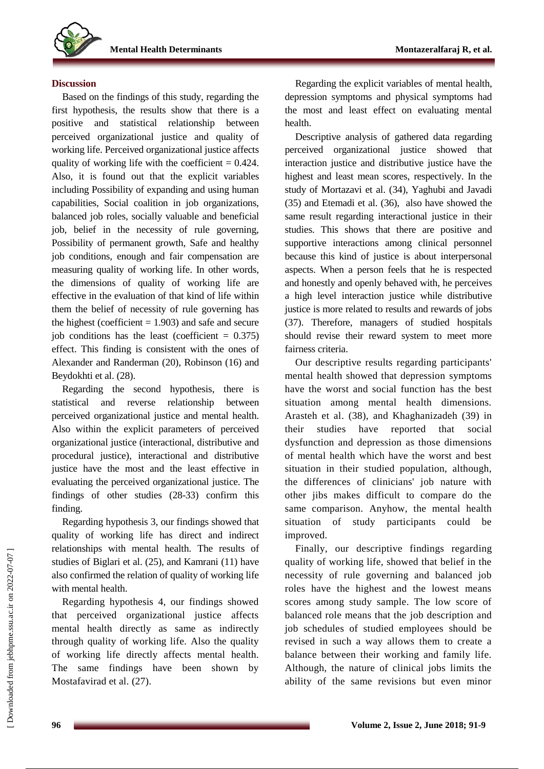# **Discussion**

Based on the findings of this study, regarding the first hypothesis, the results show that there is a positive and statistical relationship between perceived organizational justice and quality of working life. Perceived organizational justice affects quality of working life with the coefficient  $= 0.424$ . Also, it is found out that the explicit variables including Possibility of expanding and using human capabilities, Social coalition in job organizations, balanced job roles, socially valuable and beneficial job, belief in the necessity of rule governing, Possibility of permanent growth, Safe and healthy job conditions, enough and fair compensation are measuring quality of working life. In other words, the dimensions of quality of working life are effective in the evaluation of that kind of life within them the belief of necessity of rule governing has the highest (coefficient  $= 1.903$ ) and safe and secure job conditions has the least (coefficient  $= 0.375$ ) effect. This finding is consistent with the ones of Alexander and Randerman (20), Robinson (16) and Beydokhti et al. (28).

Regarding the second hypothesis, there is statistical and reverse relationship between perceived organizational justice and mental health. Also within the explicit parameters of perceived organizational justice (interactional, distributive and procedural justice), interactional and distributive justice have the most and the least effective in evaluating the perceived organizational justice. The findings of other studies (28-33) confirm this finding.

Regarding hypothesis 3, our findings showed that quality of working life has direct and indirect relationships with mental health. The results of studies of Biglari et al. (25), and Kamrani (11) have also confirmed the relation of quality of working life with mental health.

Regarding hypothesis 4, our findings showed that perceived organizational justice affects mental health directly as same as indirectly through quality of working life. Also the quality of working life directly affects mental health. The same findings have been shown by Mostafavirad et al. (27).

Regarding the explicit variables of mental health, depression symptoms and physical symptoms had the most and least effect on evaluating mental health.

Descriptive analysis of gathered data regarding perceived organizational justice showed that interaction justice and distributive justice have the highest and least mean scores, respectively. In the study of Mortazavi et al. (34), Yaghubi and Javadi (35) and Etemadi et al. (36), also have showed the same result regarding interactional justice in their studies. This shows that there are positive and supportive interactions among clinical personnel because this kind of justice is about interpersonal aspects. When a person feels that he is respected and honestly and openly behaved with, he perceives a high level interaction justice while distributive justice is more related to results and rewards of jobs (37). Therefore, managers of studied hospitals should revise their reward system to meet more fairness criteria.

Our descriptive results regarding participants' mental health showed that depression symptoms have the worst and social function has the best situation among mental health dimensions. Arasteh et al. (38), and Khaghanizadeh (39) in their studies have reported that social dysfunction and depression as those dimensions of mental health which have the worst and best situation in their studied population, although, the differences of clinicians' job nature with other jibs makes difficult to compare do the same comparison. Anyhow, the mental health situation of study participants could be improved.

Finally, our descriptive findings regarding quality of working life, showed that belief in the necessity of rule governing and balanced job roles have the highest and the lowest means scores among study sample. The low score of balanced role means that the job description and job schedules of studied employees should be revised in such a way allows them to create a balance between their working and family life. Although, the nature of clinical jobs limits the ability of the same revisions but even minor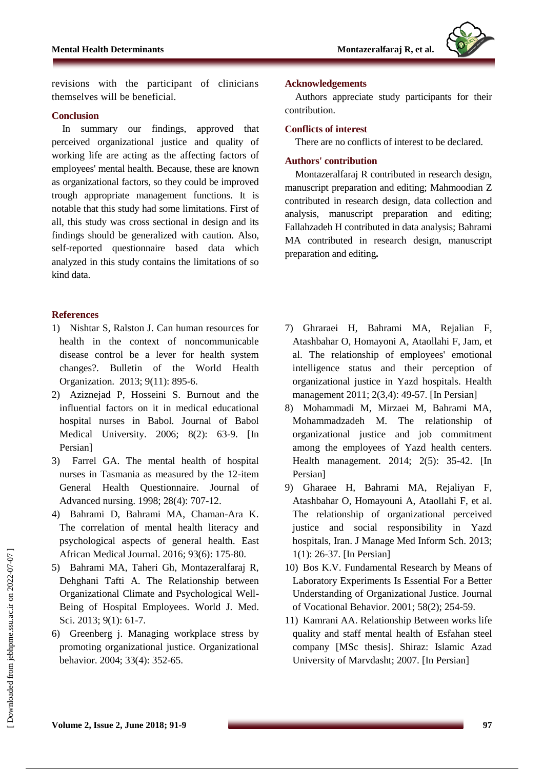

revisions with the participant of clinicians themselves will be beneficial.

#### **Conclusion**

In summary our findings, approved that perceived organizational justice and quality of working life are acting as the affecting factors of employees' mental health. Because, these are known as organizational factors, so they could be improved trough appropriate management functions. It is notable that this study had some limitations. First of all, this study was cross sectional in design and its findings should be generalized with caution. Also, self-reported questionnaire based data which analyzed in this study contains the limitations of so kind data.

#### **References**

- 1) Nishtar S, Ralston J. Can human resources for health in the context of noncommunicable disease control be a lever for health system changes?. Bulletin of the World Health Organization. 2013; 9(11): 895-6.
- 2) Aziznejad P, Hosseini S. Burnout and the influential factors on it in medical educational hospital nurses in Babol. Journal of Babol Medical University. 2006; 8(2): 63-9. [In Persian]
- 3) Farrel GA. The mental health of hospital nurses in Tasmania as measured by the 12-item General Health Questionnaire. Journal of Advanced nursing. 1998; 28(4): 707-12.
- 4) Bahrami D, Bahrami MA, Chaman-Ara K. The correlation of mental health literacy and psychological aspects of general health. East African Medical Journal. 2016; 93(6): 175-80.
- 5) Bahrami MA, Taheri Gh, Montazeralfaraj R, Dehghani Tafti A. The Relationship between Organizational Climate and Psychological Well-Being of Hospital Employees. World J. Med. Sci. 2013; 9(1): 61-7.
- 6) Greenberg j. Managing workplace stress by promoting organizational justice. Organizational behavior. 2004; 33(4): 352-65.

#### **Acknowledgements**

Authors appreciate study participants for their contribution.

#### **Conflicts of interest**

There are no conflicts of interest to be declared.

#### **Authors' contribution**

Montazeralfaraj R contributed in research design, manuscript preparation and editing; Mahmoodian Z contributed in research design, data collection and analysis, manuscript preparation and editing; Fallahzadeh H contributed in data analysis; Bahrami MA contributed in research design, manuscript preparation and editing**.**

- 7) Ghraraei H, Bahrami MA, Rejalian F, Atashbahar O, Homayoni A, Ataollahi F, Jam, et al. The relationship of employees' emotional intelligence status and their perception of organizational justice in Yazd hospitals. Health management 2011; 2(3,4): 49-57. [In Persian]
- 8) Mohammadi M, Mirzaei M, Bahrami MA, Mohammadzadeh M. The relationship of organizational justice and job commitment among the employees of Yazd health centers. Health management. 2014; 2(5): 35-42. [In Persian]
- 9) Gharaee H, Bahrami MA, Rejaliyan F, Atashbahar O, Homayouni A, Ataollahi F, et al. The relationship of organizational perceived justice and social responsibility in Yazd hospitals, Iran. J Manage Med Inform Sch. 2013; 1(1): 26-37. [In Persian]
- 10) Bos K.V. Fundamental Research by Means of Laboratory Experiments Is Essential For a Better Understanding of Organizational Justice. Journal of Vocational Behavior. 2001; 58(2); 254-59.
- 11) Kamrani AA. Relationship Between works life quality and staff mental health of Esfahan steel company [MSc thesis]. Shiraz: Islamic Azad University of Marvdasht; 2007. [In Persian]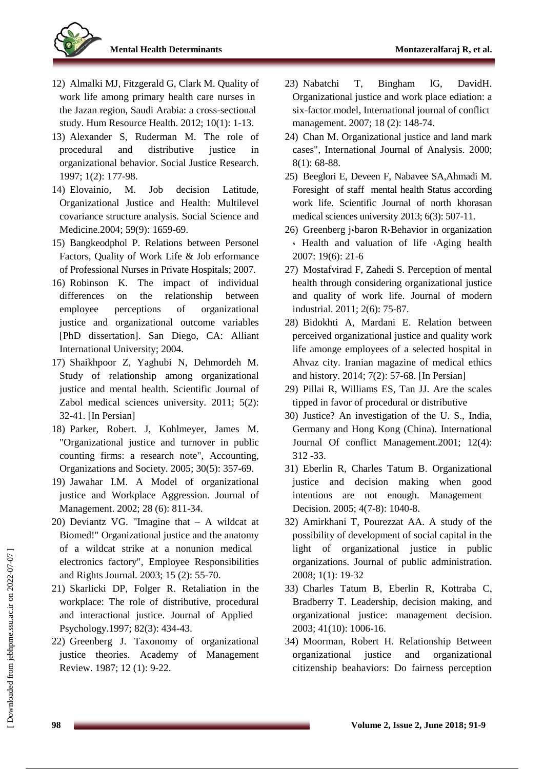

- 12) Almalki MJ, Fitzgerald G, Clark M. Quality of work life among primary health care nurses in the Jazan region, Saudi Arabia: a cross-sectional study. Hum Resource Health. 2012; 10(1): 1-13.
- 13) Alexander S, Ruderman M. The role of procedural and distributive justice in organizational behavior. Social Justice Research. 1997; 1(2): 177-98.
- 14) Elovainio, M. Job decision Latitude, Organizational Justice and Health: Multilevel covariance structure analysis. Social Science and Medicine.2004; 59(9): 1659-69.
- 15) Bangkeodphol P. Relations between Personel Factors, Quality of Work Life & Job erformance of Professional Nurses in Private Hospitals; 2007.
- 16) Robinson K. The impact of individual differences on the relationship between employee perceptions of organizational justice and organizational outcome variables [PhD dissertation]. San Diego, CA: Alliant International University; 2004.
- 17) Shaikhpoor Z, Yaghubi N, Dehmordeh M. Study of relationship among organizational justice and mental health. Scientific Journal of Zabol medical sciences university. 2011; 5(2): 32-41. [In Persian]
- 18) Parker, Robert. J, Kohlmeyer, James M. "Organizational justice and turnover in public counting firms: a research note", Accounting, Organizations and Society. 2005; 30(5): 357-69.
- 19) Jawahar I.M. A Model of organizational justice and Workplace Aggression. Journal of Management. 2002; 28 (6): 811-34.
- 20) Deviantz VG. "Imagine that A wildcat at Biomed!" Organizational justice and the anatomy of a wildcat strike at a nonunion medical electronics factory", Employee Responsibilities and Rights Journal. 2003; 15 (2): 55-70.
- 21) Skarlicki DP, Folger R. Retaliation in the workplace: The role of distributive, procedural and interactional justice. Journal of Applied Psychology.1997; 82(3): 434-43.
- 22) Greenberg J. Taxonomy of organizational justice theories. Academy of Management Review. 1987; 12 (1): 9-22.
- 23) Nabatchi T, Bingham lG, DavidH. Organizational justice and work place ediation: a six-factor model, International journal of conflict management. 2007; 18 (2): 148-74.
- 24) Chan M. Organizational justice and land mark cases", International Journal of Analysis. 2000; 8(1): 68-88.
- 25) Beeglori E, Deveen F, Nabavee SA,Ahmadi M. Foresight of staff mental health Status according work life. Scientific Journal of north khorasan medical sciences university 2013; 6(3): 507-11.
- 26) Greenberg j<sub></sub>baron R<sub>'</sub>Behavior in organization ، Health and valuation of life ،Aging health 2007: 19(6): 21-6
- 27) Mostafvirad F, Zahedi S. Perception of mental health through considering organizational justice and quality of work life. Journal of modern industrial. 2011; 2(6): 75-87.
- 28) Bidokhti A, Mardani E. Relation between perceived organizational justice and quality work life amonge employees of a selected hospital in Ahvaz city. Iranian magazine of medical ethics and history. 2014; 7(2): 57-68. [In Persian]
- 29) Pillai R, Williams ES, Tan JJ. Are the scales tipped in favor of procedural or distributive
- 30) Justice? An investigation of the U. S., India, Germany and Hong Kong (China). International Journal Of conflict Management.2001; 12(4): 312 -33.
- 31) Eberlin R, Charles Tatum B. Organizational justice and decision making when good intentions are not enough. Management Decision. 2005; 4(7-8): 1040-8.
- 32) Amirkhani T, Pourezzat AA. A study of the possibility of development of social capital in the light of organizational justice in public organizations. Journal of public administration. 2008; 1(1): 19-32
- 33) Charles Tatum B, Eberlin R, Kottraba C, Bradberry T. Leadership, decision making, and organizational justice: management decision. 2003; 41(10): 1006-16.
- 34) Moorman, Robert H. Relationship Between organizational justice and organizational citizenship beahaviors: Do fairness perception